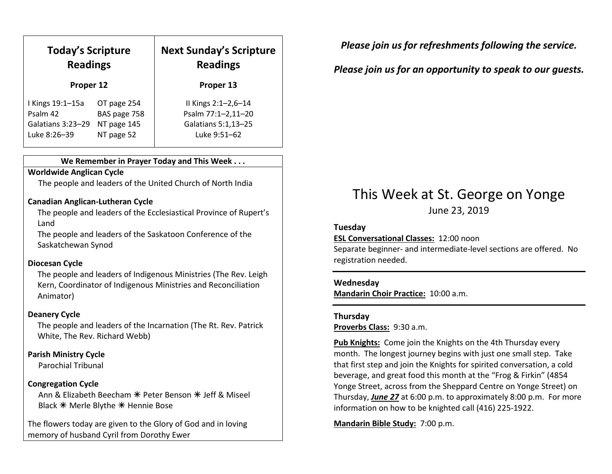| <b>Today's Scripture</b><br><b>Readings</b><br>Proper 12 |              | <b>Next Sunday's Scripture</b><br><b>Readings</b> |
|----------------------------------------------------------|--------------|---------------------------------------------------|
|                                                          |              | Proper 13                                         |
| I Kings 19:1-15a                                         | OT page 254  | Il Kings 2:1-2,6-14                               |
| Psalm 42                                                 | BAS page 758 | Psalm 77:1-2,11-20                                |
| Galatians 3:23-29                                        | NT page 145  | Galatians 5:1,13-25                               |
| Luke 8:26-39                                             | NT page 52   | Luke 9:51-62                                      |

#### We Remember in Prayer Today and This Week . . .

### Worldwide Anglican Cycle

The people and leaders of the United Church of North India

#### Canadian Anglican-Lutheran Cycle

The people and leaders of the Ecclesiastical Province of Rupert's Land

The people and leaders of the Saskatoon Conference of the Saskatchewan Synod

#### Diocesan Cycle

The people and leaders of Indigenous Ministries (The Rev. Leigh Kern, Coordinator of Indigenous Ministries and Reconciliation Animator)

#### Deanery Cycle

The people and leaders of the Incarnation (The Rt. Rev. Patrick White, The Rev. Richard Webb)

#### Parish Ministry Cycle

Parochial Tribunal

#### Congregation Cycle

Ann & Elizabeth Beecham  $*$  Peter Benson  $*$  Jeff & Miseel Black \* Merle Blythe \* Hennie Bose

The flowers today are given to the Glory of God and in loving memory of husband Cyril from Dorothy Ewer

Please join us for refreshments following the service.

### Please join us for an opportunity to speak to our guests.

## This Week at St. George on Yonge June 23, 2019

#### Tuesday

ESL Conversational Classes: 12:00 noon

Separate beginner- and intermediate-level sections are offered. No registration needed.

#### Wednesday

Mandarin Choir Practice: 10:00 a.m.

#### Thursday

Proverbs Class: 9:30 a.m.

Pub Knights: Come join the Knights on the 4th Thursday every month. The longest journey begins with just one small step. Take that first step and join the Knights for spirited conversation, a cold beverage, and great food this month at the "Frog & Firkin" (4854 Yonge Street, across from the Sheppard Centre on Yonge Street) on Thursday, June 27 at 6:00 p.m. to approximately 8:00 p.m. For more information on how to be knighted call (416) 225-1922.

Mandarin Bible Study: 7:00 p.m.